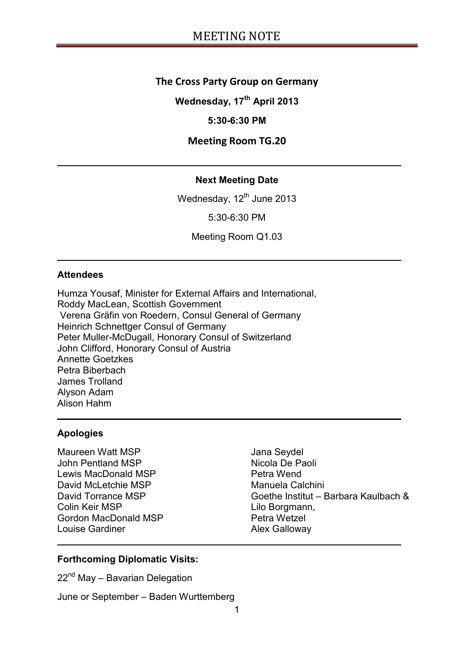## **The Cross Party Group on Germany**

**Wednesday, 17th April 2013**

## **5:30-6:30 PM**

## **Meeting Room TG.20**

## **Next Meeting Date**

Wednesday, 12<sup>th</sup> June 2013

5:30-6:30 PM

Meeting Room Q1.03

#### **Attendees**

Humza Yousaf, Minister for External Affairs and International, Roddy MacLean, Scottish Government Verena Gräfin von Roedern, Consul General of Germany Heinrich Schnettger Consul of Germany Peter Muller-McDugall, Honorary Consul of Switzerland John Clifford, Honorary Consul of Austria Annette Goetzkes Petra Biberbach James Trolland Alyson Adam Alison Hahm

### **Apologies**

Maureen Watt MSP John Pentland MSP Lewis MacDonald MSP David McLetchie MSP David Torrance MSP Colin Keir MSP Gordon MacDonald MSP Louise Gardiner

Jana Seydel Nicola De Paoli Petra Wend Manuela Calchini Goethe Institut – Barbara Kaulbach & Lilo Borgmann, Petra Wetzel Alex Galloway

#### **Forthcoming Diplomatic Visits:**

22<sup>nd</sup> May – Bavarian Delegation

June or September – Baden Wurttemberg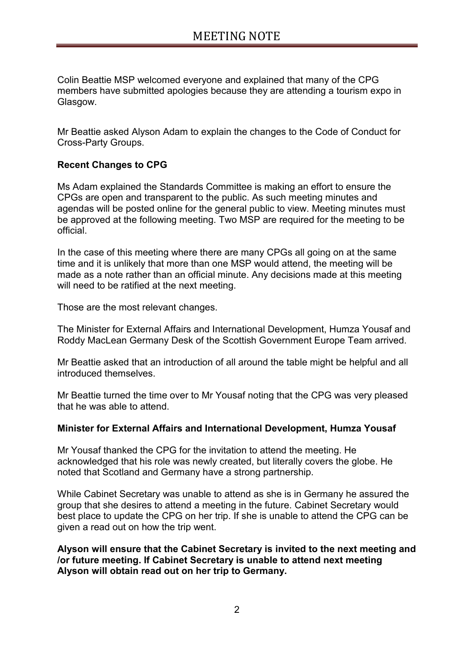Colin Beattie MSP welcomed everyone and explained that many of the CPG members have submitted apologies because they are attending a tourism expo in Glasgow.

Mr Beattie asked Alyson Adam to explain the changes to the Code of Conduct for Cross-Party Groups.

## **Recent Changes to CPG**

Ms Adam explained the Standards Committee is making an effort to ensure the CPGs are open and transparent to the public. As such meeting minutes and agendas will be posted online for the general public to view. Meeting minutes must be approved at the following meeting. Two MSP are required for the meeting to be official.

In the case of this meeting where there are many CPGs all going on at the same time and it is unlikely that more than one MSP would attend, the meeting will be made as a note rather than an official minute. Any decisions made at this meeting will need to be ratified at the next meeting.

Those are the most relevant changes.

The Minister for External Affairs and International Development, Humza Yousaf and Roddy MacLean Germany Desk of the Scottish Government Europe Team arrived.

Mr Beattie asked that an introduction of all around the table might be helpful and all introduced themselves.

Mr Beattie turned the time over to Mr Yousaf noting that the CPG was very pleased that he was able to attend.

### **Minister for External Affairs and International Development, Humza Yousaf**

Mr Yousaf thanked the CPG for the invitation to attend the meeting. He acknowledged that his role was newly created, but literally covers the globe. He noted that Scotland and Germany have a strong partnership.

While Cabinet Secretary was unable to attend as she is in Germany he assured the group that she desires to attend a meeting in the future. Cabinet Secretary would best place to update the CPG on her trip. If she is unable to attend the CPG can be given a read out on how the trip went.

**Alyson will ensure that the Cabinet Secretary is invited to the next meeting and /or future meeting. If Cabinet Secretary is unable to attend next meeting Alyson will obtain read out on her trip to Germany.**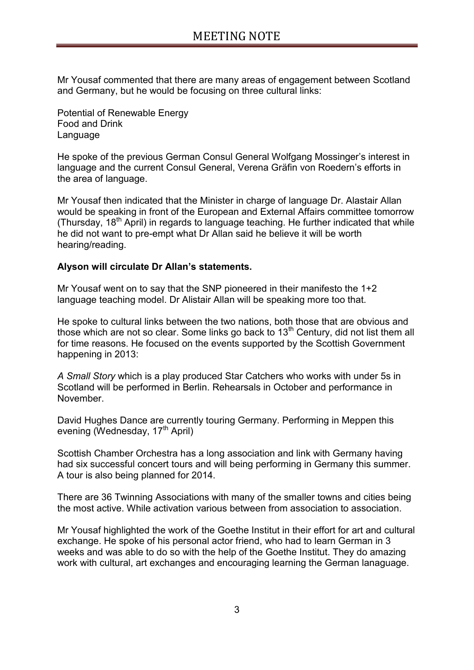Mr Yousaf commented that there are many areas of engagement between Scotland and Germany, but he would be focusing on three cultural links:

Potential of Renewable Energy Food and Drink Language

He spoke of the previous German Consul General Wolfgang Mossinger"s interest in language and the current Consul General, Verena Gräfin von Roedern"s efforts in the area of language.

Mr Yousaf then indicated that the Minister in charge of language Dr. Alastair Allan would be speaking in front of the European and External Affairs committee tomorrow (Thursday,  $18<sup>th</sup>$  April) in regards to language teaching. He further indicated that while he did not want to pre-empt what Dr Allan said he believe it will be worth hearing/reading.

## **Alyson will circulate Dr Allan's statements.**

Mr Yousaf went on to say that the SNP pioneered in their manifesto the 1+2 language teaching model. Dr Alistair Allan will be speaking more too that.

He spoke to cultural links between the two nations, both those that are obvious and those which are not so clear. Some links go back to  $13<sup>th</sup>$  Century, did not list them all for time reasons. He focused on the events supported by the Scottish Government happening in 2013:

*A Small Story* which is a play produced Star Catchers who works with under 5s in Scotland will be performed in Berlin. Rehearsals in October and performance in November.

David Hughes Dance are currently touring Germany. Performing in Meppen this evening (Wednesday, 17<sup>th</sup> April)

Scottish Chamber Orchestra has a long association and link with Germany having had six successful concert tours and will being performing in Germany this summer. A tour is also being planned for 2014.

There are 36 Twinning Associations with many of the smaller towns and cities being the most active. While activation various between from association to association.

Mr Yousaf highlighted the work of the Goethe Institut in their effort for art and cultural exchange. He spoke of his personal actor friend, who had to learn German in 3 weeks and was able to do so with the help of the Goethe Institut. They do amazing work with cultural, art exchanges and encouraging learning the German lanaguage.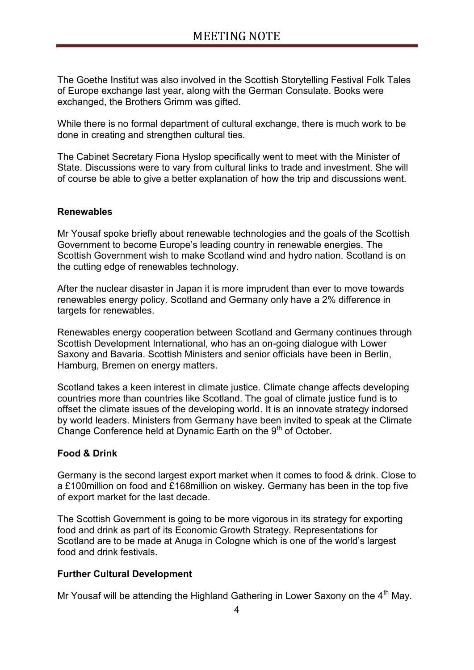The Goethe Institut was also involved in the Scottish Storytelling Festival Folk Tales of Europe exchange last year, along with the German Consulate. Books were exchanged, the Brothers Grimm was gifted.

While there is no formal department of cultural exchange, there is much work to be done in creating and strengthen cultural ties.

The Cabinet Secretary Fiona Hyslop specifically went to meet with the Minister of State. Discussions were to vary from cultural links to trade and investment. She will of course be able to give a better explanation of how the trip and discussions went.

## **Renewables**

Mr Yousaf spoke briefly about renewable technologies and the goals of the Scottish Government to become Europe"s leading country in renewable energies. The Scottish Government wish to make Scotland wind and hydro nation. Scotland is on the cutting edge of renewables technology.

After the nuclear disaster in Japan it is more imprudent than ever to move towards renewables energy policy. Scotland and Germany only have a 2% difference in targets for renewables.

Renewables energy cooperation between Scotland and Germany continues through Scottish Development International, who has an on-going dialogue with Lower Saxony and Bavaria. Scottish Ministers and senior officials have been in Berlin, Hamburg, Bremen on energy matters.

Scotland takes a keen interest in climate justice. Climate change affects developing countries more than countries like Scotland. The goal of climate justice fund is to offset the climate issues of the developing world. It is an innovate strategy indorsed by world leaders. Ministers from Germany have been invited to speak at the Climate Change Conference held at Dynamic Earth on the 9<sup>th</sup> of October.

## **Food & Drink**

Germany is the second largest export market when it comes to food & drink. Close to a £100million on food and £168million on wiskey. Germany has been in the top five of export market for the last decade.

The Scottish Government is going to be more vigorous in its strategy for exporting food and drink as part of its Economic Growth Strategy. Representations for Scotland are to be made at Anuga in Cologne which is one of the world"s largest food and drink festivals.

### **Further Cultural Development**

Mr Yousaf will be attending the Highland Gathering in Lower Saxony on the  $4<sup>th</sup>$  May.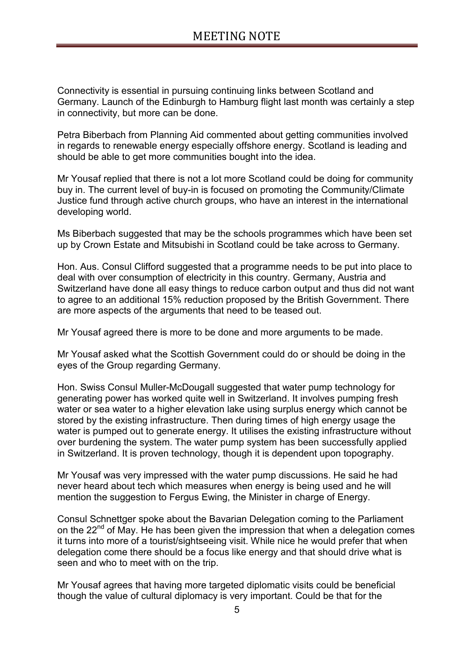Connectivity is essential in pursuing continuing links between Scotland and Germany. Launch of the Edinburgh to Hamburg flight last month was certainly a step in connectivity, but more can be done.

Petra Biberbach from Planning Aid commented about getting communities involved in regards to renewable energy especially offshore energy. Scotland is leading and should be able to get more communities bought into the idea.

Mr Yousaf replied that there is not a lot more Scotland could be doing for community buy in. The current level of buy-in is focused on promoting the Community/Climate Justice fund through active church groups, who have an interest in the international developing world.

Ms Biberbach suggested that may be the schools programmes which have been set up by Crown Estate and Mitsubishi in Scotland could be take across to Germany.

Hon. Aus. Consul Clifford suggested that a programme needs to be put into place to deal with over consumption of electricity in this country. Germany, Austria and Switzerland have done all easy things to reduce carbon output and thus did not want to agree to an additional 15% reduction proposed by the British Government. There are more aspects of the arguments that need to be teased out.

Mr Yousaf agreed there is more to be done and more arguments to be made.

Mr Yousaf asked what the Scottish Government could do or should be doing in the eyes of the Group regarding Germany.

Hon. Swiss Consul Muller-McDougall suggested that water pump technology for generating power has worked quite well in Switzerland. It involves pumping fresh water or sea water to a higher elevation lake using surplus energy which cannot be stored by the existing infrastructure. Then during times of high energy usage the water is pumped out to generate energy. It utilises the existing infrastructure without over burdening the system. The water pump system has been successfully applied in Switzerland. It is proven technology, though it is dependent upon topography.

Mr Yousaf was very impressed with the water pump discussions. He said he had never heard about tech which measures when energy is being used and he will mention the suggestion to Fergus Ewing, the Minister in charge of Energy.

Consul Schnettger spoke about the Bavarian Delegation coming to the Parliament on the 22<sup>nd</sup> of May. He has been given the impression that when a delegation comes it turns into more of a tourist/sightseeing visit. While nice he would prefer that when delegation come there should be a focus like energy and that should drive what is seen and who to meet with on the trip.

Mr Yousaf agrees that having more targeted diplomatic visits could be beneficial though the value of cultural diplomacy is very important. Could be that for the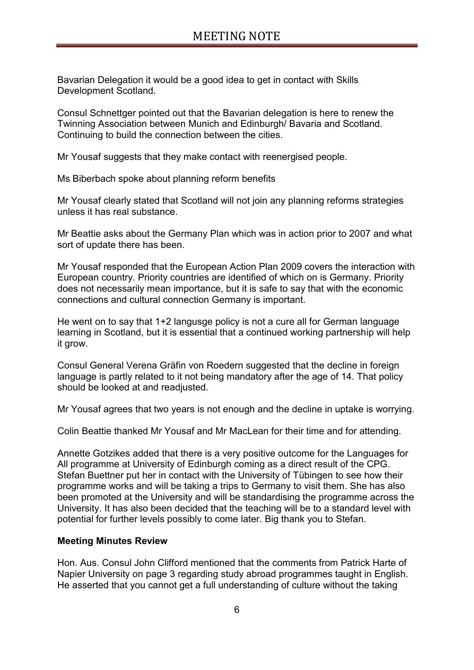Bavarian Delegation it would be a good idea to get in contact with Skills Development Scotland.

Consul Schnettger pointed out that the Bavarian delegation is here to renew the Twinning Association between Munich and Edinburgh/ Bavaria and Scotland. Continuing to build the connection between the cities.

Mr Yousaf suggests that they make contact with reenergised people.

Ms Biberbach spoke about planning reform benefits

Mr Yousaf clearly stated that Scotland will not join any planning reforms strategies unless it has real substance.

Mr Beattie asks about the Germany Plan which was in action prior to 2007 and what sort of update there has been.

Mr Yousaf responded that the European Action Plan 2009 covers the interaction with European country. Priority countries are identified of which on is Germany. Priority does not necessarily mean importance, but it is safe to say that with the economic connections and cultural connection Germany is important.

He went on to say that 1+2 langusge policy is not a cure all for German language learning in Scotland, but it is essential that a continued working partnership will help it grow.

Consul General Verena Gräfin von Roedern suggested that the decline in foreign language is partly related to it not being mandatory after the age of 14. That policy should be looked at and readjusted.

Mr Yousaf agrees that two years is not enough and the decline in uptake is worrying.

Colin Beattie thanked Mr Yousaf and Mr MacLean for their time and for attending.

Annette Gotzikes added that there is a very positive outcome for the Languages for All programme at University of Edinburgh coming as a direct result of the CPG. Stefan Buettner put her in contact with the University of Tübingen to see how their programme works and will be taking a trips to Germany to visit them. She has also been promoted at the University and will be standardising the programme across the University. It has also been decided that the teaching will be to a standard level with potential for further levels possibly to come later. Big thank you to Stefan.

### **Meeting Minutes Review**

Hon. Aus. Consul John Clifford mentioned that the comments from Patrick Harte of Napier University on page 3 regarding study abroad programmes taught in English. He asserted that you cannot get a full understanding of culture without the taking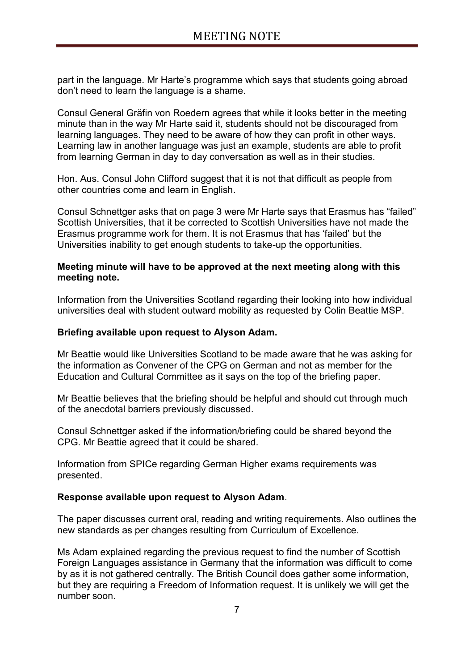part in the language. Mr Harte"s programme which says that students going abroad don"t need to learn the language is a shame.

Consul General Gräfin von Roedern agrees that while it looks better in the meeting minute than in the way Mr Harte said it, students should not be discouraged from learning languages. They need to be aware of how they can profit in other ways. Learning law in another language was just an example, students are able to profit from learning German in day to day conversation as well as in their studies.

Hon. Aus. Consul John Clifford suggest that it is not that difficult as people from other countries come and learn in English.

Consul Schnettger asks that on page 3 were Mr Harte says that Erasmus has "failed" Scottish Universities, that it be corrected to Scottish Universities have not made the Erasmus programme work for them. It is not Erasmus that has "failed" but the Universities inability to get enough students to take-up the opportunities.

### **Meeting minute will have to be approved at the next meeting along with this meeting note.**

Information from the Universities Scotland regarding their looking into how individual universities deal with student outward mobility as requested by Colin Beattie MSP.

## **Briefing available upon request to Alyson Adam.**

Mr Beattie would like Universities Scotland to be made aware that he was asking for the information as Convener of the CPG on German and not as member for the Education and Cultural Committee as it says on the top of the briefing paper.

Mr Beattie believes that the briefing should be helpful and should cut through much of the anecdotal barriers previously discussed.

Consul Schnettger asked if the information/briefing could be shared beyond the CPG. Mr Beattie agreed that it could be shared.

Information from SPICe regarding German Higher exams requirements was presented.

### **Response available upon request to Alyson Adam**.

The paper discusses current oral, reading and writing requirements. Also outlines the new standards as per changes resulting from Curriculum of Excellence.

Ms Adam explained regarding the previous request to find the number of Scottish Foreign Languages assistance in Germany that the information was difficult to come by as it is not gathered centrally. The British Council does gather some information, but they are requiring a Freedom of Information request. It is unlikely we will get the number soon.